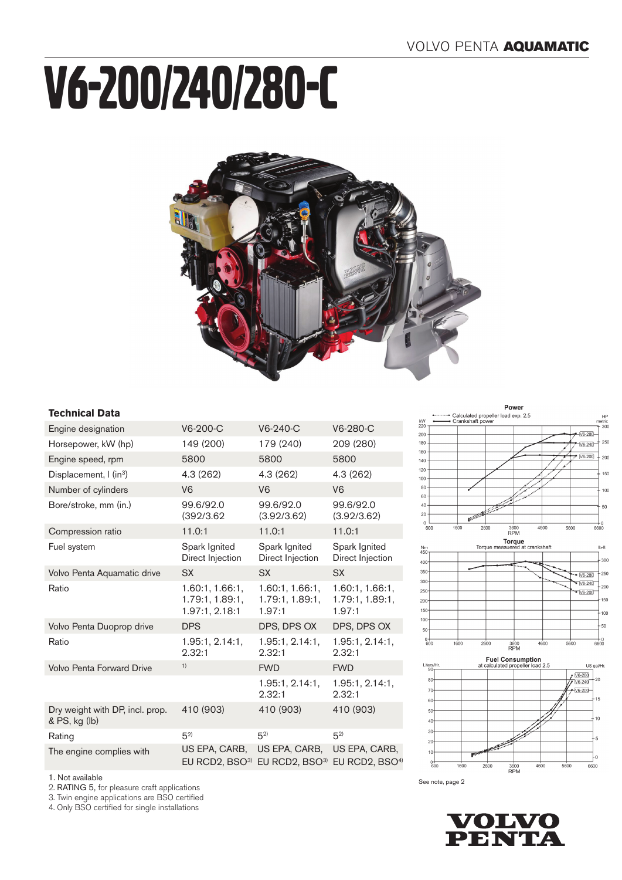# V6-200/240/280-C



# **Technical Data**

| Engine designation                               | $V6-200-C$                                           | $V6-240-C$                                   | V6-280-C                                     |
|--------------------------------------------------|------------------------------------------------------|----------------------------------------------|----------------------------------------------|
| Horsepower, kW (hp)                              | 149 (200)                                            | 179 (240)                                    | 209 (280)                                    |
| Engine speed, rpm                                | 5800                                                 | 5800                                         | 5800                                         |
| Displacement, I (in <sup>3</sup> )               | 4.3 (262)                                            | 4.3 (262)                                    | 4.3(262)                                     |
| Number of cylinders                              | V <sub>6</sub>                                       | V <sub>6</sub>                               | V <sub>6</sub>                               |
| Bore/stroke, mm (in.)                            | 99.6/92.0<br>(392/3.62)                              | 99.6/92.0<br>(3.92/3.62)                     | 99.6/92.0<br>(3.92/3.62)                     |
| Compression ratio                                | 11.0:1                                               | 11.0:1                                       | 11.0:1                                       |
| Fuel system                                      | Spark Ignited<br>Direct Injection                    | Spark Ignited<br>Direct Injection            | Spark Ignited<br>Direct Injection            |
| Volvo Penta Aquamatic drive                      | <b>SX</b>                                            | <b>SX</b>                                    | <b>SX</b>                                    |
| Ratio                                            | 1.60:1, 1.66:1,<br>1.79:1, 1.89:1,<br>1.97:1, 2.18:1 | 1.60:1, 1.66:1,<br>1.79:1, 1.89:1,<br>1.97:1 | 1.60:1, 1.66:1,<br>1.79:1, 1.89:1,<br>1.97:1 |
| Volvo Penta Duoprop drive                        | <b>DPS</b>                                           | DPS, DPS OX                                  | DPS, DPS OX                                  |
| Ratio                                            | 1.95:1, 2.14:1,<br>2.32:1                            | 1.95:1, 2.14:1,<br>2.32:1                    | 1.95:1, 2.14:1,<br>2.32:1                    |
| <b>Volvo Penta Forward Drive</b>                 | 1)                                                   | <b>FWD</b>                                   | <b>FWD</b>                                   |
|                                                  |                                                      | 1.95:1, 2.14:1<br>2.32:1                     | 1.95:1, 2.14:1,<br>2.32:1                    |
| Dry weight with DP, incl. prop.<br>& PS, kg (lb) | 410 (903)                                            | 410 (903)                                    | 410 (903)                                    |
| Rating                                           | $5^{2}$                                              | $(5^2)$                                      | $(5^2)$                                      |
| The engine complies with                         | US EPA, CARB,<br>EU RCD2, $BSO3$                     | US EPA, CARB,<br>EU RCD2, BSO <sup>3)</sup>  | US EPA, CARB,<br>EU RCD2, BSO <sup>4)</sup>  |
|                                                  |                                                      |                                              |                                              |









1. Not available

2. RATING 5, for pleasure craft applications

3. Twin engine applications are BSO certified

4. Only BSO certified for single installations

See note, page 2